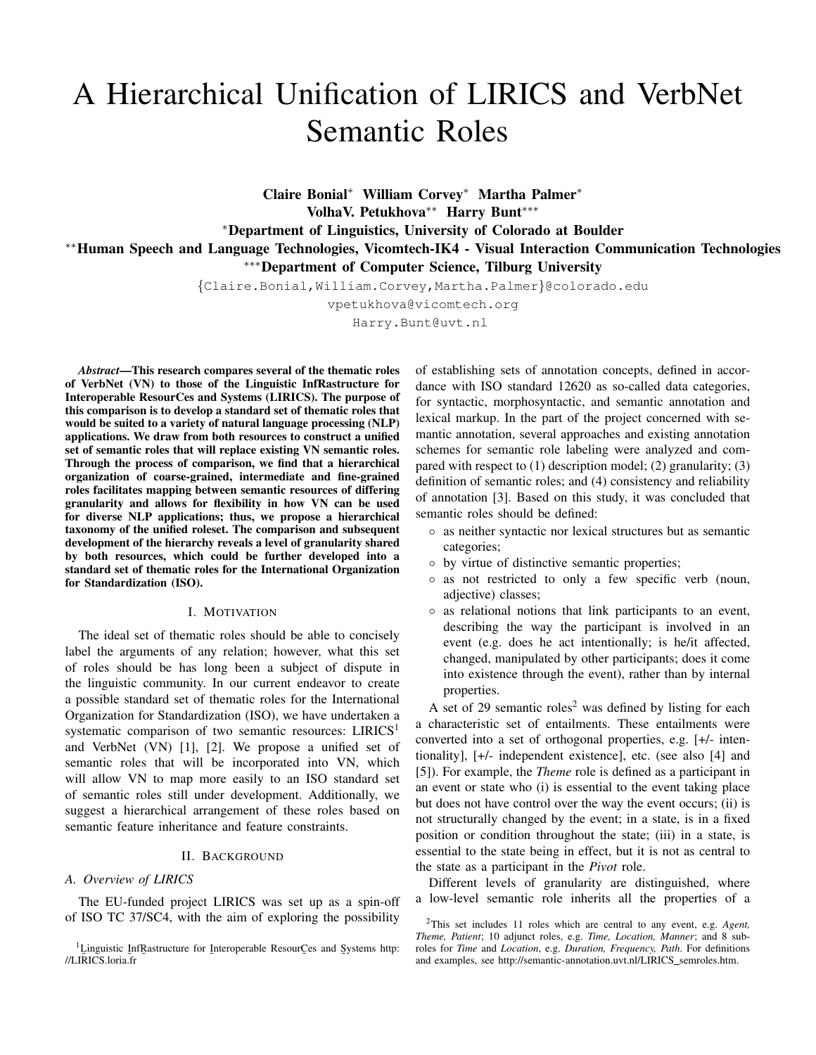# A Hierarchical Unification of LIRICS and VerbNet Semantic Roles

Claire Bonial<sup>∗</sup> William Corvey<sup>∗</sup> Martha Palmer<sup>∗</sup> VolhaV. Petukhova∗∗ Harry Bunt∗∗∗ <sup>∗</sup>Department of Linguistics, University of Colorado at Boulder ∗∗Human Speech and Language Technologies, Vicomtech-IK4 - Visual Interaction Communication Technologies ∗∗∗Department of Computer Science, Tilburg University

{Claire.Bonial,William.Corvey,Martha.Palmer}@colorado.edu

vpetukhova@vicomtech.org

Harry.Bunt@uvt.nl

*Abstract*—This research compares several of the thematic roles of VerbNet (VN) to those of the Linguistic InfRastructure for Interoperable ResourCes and Systems (LIRICS). The purpose of this comparison is to develop a standard set of thematic roles that would be suited to a variety of natural language processing (NLP) applications. We draw from both resources to construct a unified set of semantic roles that will replace existing VN semantic roles. Through the process of comparison, we find that a hierarchical organization of coarse-grained, intermediate and fine-grained roles facilitates mapping between semantic resources of differing granularity and allows for flexibility in how VN can be used for diverse NLP applications; thus, we propose a hierarchical taxonomy of the unified roleset. The comparison and subsequent development of the hierarchy reveals a level of granularity shared by both resources, which could be further developed into a standard set of thematic roles for the International Organization for Standardization (ISO).

#### I. MOTIVATION

The ideal set of thematic roles should be able to concisely label the arguments of any relation; however, what this set of roles should be has long been a subject of dispute in the linguistic community. In our current endeavor to create a possible standard set of thematic roles for the International Organization for Standardization (ISO), we have undertaken a systematic comparison of two semantic resources:  $LIRICS<sup>1</sup>$ and VerbNet (VN) [1], [2]. We propose a unified set of semantic roles that will be incorporated into VN, which will allow VN to map more easily to an ISO standard set of semantic roles still under development. Additionally, we suggest a hierarchical arrangement of these roles based on semantic feature inheritance and feature constraints.

## II. BACKGROUND

#### *A. Overview of LIRICS*

The EU-funded project LIRICS was set up as a spin-off of ISO TC 37/SC4, with the aim of exploring the possibility

of establishing sets of annotation concepts, defined in accordance with ISO standard 12620 as so-called data categories, for syntactic, morphosyntactic, and semantic annotation and lexical markup. In the part of the project concerned with semantic annotation, several approaches and existing annotation schemes for semantic role labeling were analyzed and compared with respect to (1) description model; (2) granularity; (3) definition of semantic roles; and (4) consistency and reliability of annotation [3]. Based on this study, it was concluded that semantic roles should be defined:

- as neither syntactic nor lexical structures but as semantic categories;
- by virtue of distinctive semantic properties;
- as not restricted to only a few specific verb (noun, adjective) classes;
- as relational notions that link participants to an event, describing the way the participant is involved in an event (e.g. does he act intentionally; is he/it affected, changed, manipulated by other participants; does it come into existence through the event), rather than by internal properties.

A set of 29 semantic roles<sup>2</sup> was defined by listing for each a characteristic set of entailments. These entailments were converted into a set of orthogonal properties, e.g. [+/- intentionality], [+/- independent existence], etc. (see also [4] and [5]). For example, the *Theme* role is defined as a participant in an event or state who (i) is essential to the event taking place but does not have control over the way the event occurs; (ii) is not structurally changed by the event; in a state, is in a fixed position or condition throughout the state; (iii) in a state, is essential to the state being in effect, but it is not as central to the state as a participant in the *Pivot* role.

Different levels of granularity are distinguished, where a low-level semantic role inherits all the properties of a

<sup>&</sup>lt;sup>1</sup>Linguistic InfRastructure for Interoperable ResourCes and Systems http:<br> **IRICS** loria fr ¯ ¯ //LIRICS.loria.fr

<sup>2</sup>This set includes 11 roles which are central to any event, e.g. *Agent, Theme, Patient*; 10 adjunct roles, e.g. *Time, Location, Manner*; and 8 subroles for *Time* and *Location*, e.g. *Duration, Frequency, Path*. For definitions and examples, see http://semantic-annotation.uvt.nl/LIRICS\_semroles.htm.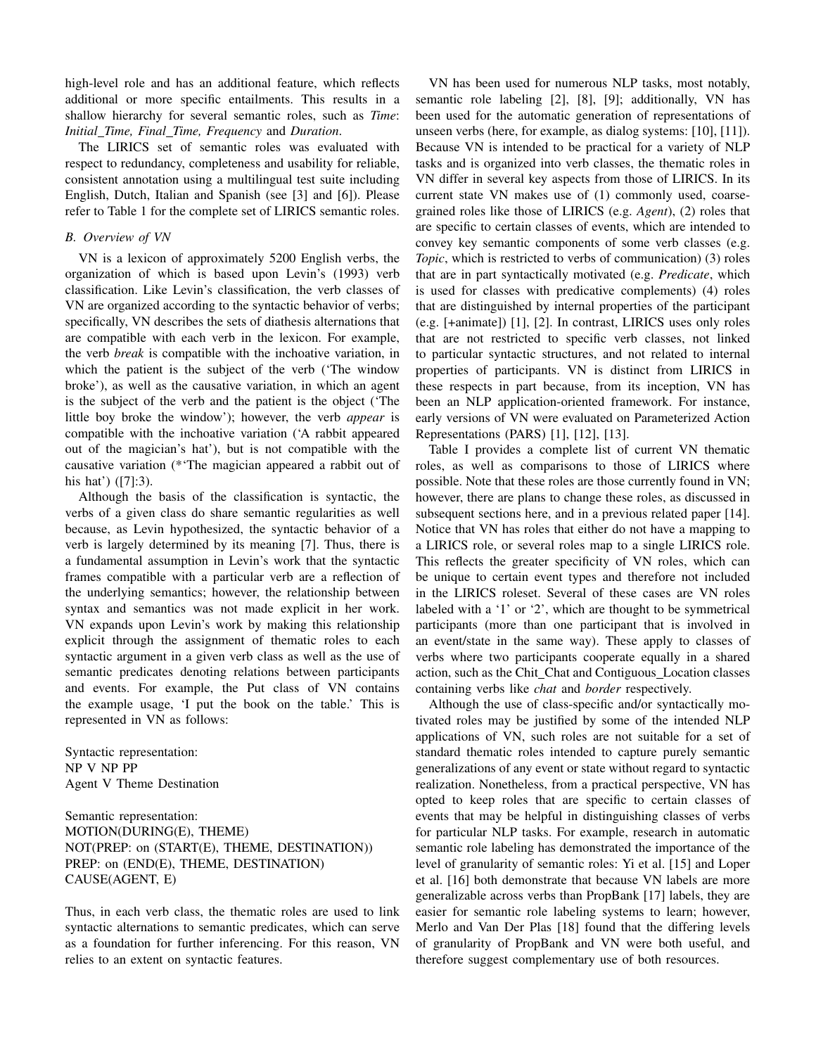high-level role and has an additional feature, which reflects additional or more specific entailments. This results in a shallow hierarchy for several semantic roles, such as *Time*: *Initial Time, Final Time, Frequency* and *Duration*.

The LIRICS set of semantic roles was evaluated with respect to redundancy, completeness and usability for reliable, consistent annotation using a multilingual test suite including English, Dutch, Italian and Spanish (see [3] and [6]). Please refer to Table 1 for the complete set of LIRICS semantic roles.

# *B. Overview of VN*

VN is a lexicon of approximately 5200 English verbs, the organization of which is based upon Levin's (1993) verb classification. Like Levin's classification, the verb classes of VN are organized according to the syntactic behavior of verbs; specifically, VN describes the sets of diathesis alternations that are compatible with each verb in the lexicon. For example, the verb *break* is compatible with the inchoative variation, in which the patient is the subject of the verb ('The window broke'), as well as the causative variation, in which an agent is the subject of the verb and the patient is the object ('The little boy broke the window'); however, the verb *appear* is compatible with the inchoative variation ('A rabbit appeared out of the magician's hat'), but is not compatible with the causative variation (\*'The magician appeared a rabbit out of his hat') ([7]:3).

Although the basis of the classification is syntactic, the verbs of a given class do share semantic regularities as well because, as Levin hypothesized, the syntactic behavior of a verb is largely determined by its meaning [7]. Thus, there is a fundamental assumption in Levin's work that the syntactic frames compatible with a particular verb are a reflection of the underlying semantics; however, the relationship between syntax and semantics was not made explicit in her work. VN expands upon Levin's work by making this relationship explicit through the assignment of thematic roles to each syntactic argument in a given verb class as well as the use of semantic predicates denoting relations between participants and events. For example, the Put class of VN contains the example usage, 'I put the book on the table.' This is represented in VN as follows:

Syntactic representation: NP V NP PP Agent V Theme Destination

Semantic representation: MOTION(DURING(E), THEME) NOT(PREP: on (START(E), THEME, DESTINATION)) PREP: on (END(E), THEME, DESTINATION) CAUSE(AGENT, E)

Thus, in each verb class, the thematic roles are used to link syntactic alternations to semantic predicates, which can serve as a foundation for further inferencing. For this reason, VN relies to an extent on syntactic features.

VN has been used for numerous NLP tasks, most notably, semantic role labeling [2], [8], [9]; additionally, VN has been used for the automatic generation of representations of unseen verbs (here, for example, as dialog systems: [10], [11]). Because VN is intended to be practical for a variety of NLP tasks and is organized into verb classes, the thematic roles in VN differ in several key aspects from those of LIRICS. In its current state VN makes use of (1) commonly used, coarsegrained roles like those of LIRICS (e.g. *Agent*), (2) roles that are specific to certain classes of events, which are intended to convey key semantic components of some verb classes (e.g. *Topic*, which is restricted to verbs of communication) (3) roles that are in part syntactically motivated (e.g. *Predicate*, which is used for classes with predicative complements) (4) roles that are distinguished by internal properties of the participant (e.g. [+animate]) [1], [2]. In contrast, LIRICS uses only roles that are not restricted to specific verb classes, not linked to particular syntactic structures, and not related to internal properties of participants. VN is distinct from LIRICS in these respects in part because, from its inception, VN has been an NLP application-oriented framework. For instance, early versions of VN were evaluated on Parameterized Action Representations (PARS) [1], [12], [13].

Table I provides a complete list of current VN thematic roles, as well as comparisons to those of LIRICS where possible. Note that these roles are those currently found in VN; however, there are plans to change these roles, as discussed in subsequent sections here, and in a previous related paper [14]. Notice that VN has roles that either do not have a mapping to a LIRICS role, or several roles map to a single LIRICS role. This reflects the greater specificity of VN roles, which can be unique to certain event types and therefore not included in the LIRICS roleset. Several of these cases are VN roles labeled with a '1' or '2', which are thought to be symmetrical participants (more than one participant that is involved in an event/state in the same way). These apply to classes of verbs where two participants cooperate equally in a shared action, such as the Chit\_Chat and Contiguous\_Location classes containing verbs like *chat* and *border* respectively.

Although the use of class-specific and/or syntactically motivated roles may be justified by some of the intended NLP applications of VN, such roles are not suitable for a set of standard thematic roles intended to capture purely semantic generalizations of any event or state without regard to syntactic realization. Nonetheless, from a practical perspective, VN has opted to keep roles that are specific to certain classes of events that may be helpful in distinguishing classes of verbs for particular NLP tasks. For example, research in automatic semantic role labeling has demonstrated the importance of the level of granularity of semantic roles: Yi et al. [15] and Loper et al. [16] both demonstrate that because VN labels are more generalizable across verbs than PropBank [17] labels, they are easier for semantic role labeling systems to learn; however, Merlo and Van Der Plas [18] found that the differing levels of granularity of PropBank and VN were both useful, and therefore suggest complementary use of both resources.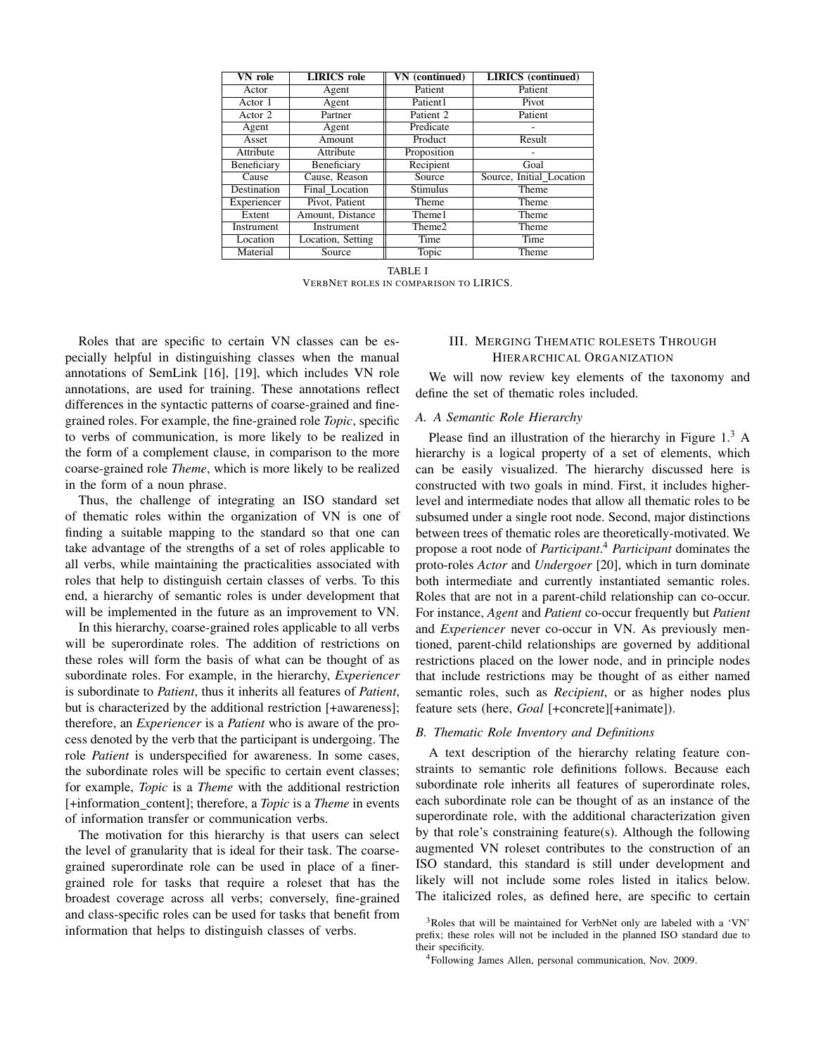| VN role     | <b>LIRICS</b> role | <b>VN</b> (continued) | <b>LIRICS</b> (continued) |  |
|-------------|--------------------|-----------------------|---------------------------|--|
| Actor       | Agent              | Patient               | Patient                   |  |
| Actor 1     | Agent              | Patient1              | Pivot                     |  |
| Actor 2     | Partner            | Patient <sub>2</sub>  | Patient                   |  |
| Agent       | Agent              | Predicate             |                           |  |
| Asset       | Amount             | Product               | Result                    |  |
| Attribute   | Attribute          | Proposition           | ۰                         |  |
| Beneficiary | Beneficiary        | Recipient             | Goal                      |  |
| Cause       | Cause, Reason      | Source                | Source, Initial Location  |  |
| Destination | Final Location     | <b>Stimulus</b>       | Theme                     |  |
| Experiencer | Pivot, Patient     | Theme                 | Theme                     |  |
| Extent      | Amount, Distance   | Theme1                | Theme                     |  |
| Instrument  | Instrument         | Theme2                | Theme                     |  |
| Location    | Location, Setting  | Time                  | Time                      |  |
| Material    | Source             | Topic                 | Theme                     |  |

TABLE I VERBNET ROLES IN COMPARISON TO LIRICS.

Roles that are specific to certain VN classes can be especially helpful in distinguishing classes when the manual annotations of SemLink [16], [19], which includes VN role annotations, are used for training. These annotations reflect differences in the syntactic patterns of coarse-grained and finegrained roles. For example, the fine-grained role *Topic*, specific to verbs of communication, is more likely to be realized in the form of a complement clause, in comparison to the more coarse-grained role *Theme*, which is more likely to be realized in the form of a noun phrase.

Thus, the challenge of integrating an ISO standard set of thematic roles within the organization of VN is one of finding a suitable mapping to the standard so that one can take advantage of the strengths of a set of roles applicable to all verbs, while maintaining the practicalities associated with roles that help to distinguish certain classes of verbs. To this end, a hierarchy of semantic roles is under development that will be implemented in the future as an improvement to VN.

In this hierarchy, coarse-grained roles applicable to all verbs will be superordinate roles. The addition of restrictions on these roles will form the basis of what can be thought of as subordinate roles. For example, in the hierarchy, *Experiencer* is subordinate to *Patient*, thus it inherits all features of *Patient*, but is characterized by the additional restriction [+awareness]; therefore, an *Experiencer* is a *Patient* who is aware of the process denoted by the verb that the participant is undergoing. The role *Patient* is underspecified for awareness. In some cases, the subordinate roles will be specific to certain event classes; for example, *Topic* is a *Theme* with the additional restriction [+information content]; therefore, a *Topic* is a *Theme* in events of information transfer or communication verbs.

The motivation for this hierarchy is that users can select the level of granularity that is ideal for their task. The coarsegrained superordinate role can be used in place of a finergrained role for tasks that require a roleset that has the broadest coverage across all verbs; conversely, fine-grained and class-specific roles can be used for tasks that benefit from information that helps to distinguish classes of verbs.

# III. MERGING THEMATIC ROLESETS THROUGH HIERARCHICAL ORGANIZATION

We will now review key elements of the taxonomy and define the set of thematic roles included.

### *A. A Semantic Role Hierarchy*

Please find an illustration of the hierarchy in Figure  $1<sup>3</sup>$  A hierarchy is a logical property of a set of elements, which can be easily visualized. The hierarchy discussed here is constructed with two goals in mind. First, it includes higherlevel and intermediate nodes that allow all thematic roles to be subsumed under a single root node. Second, major distinctions between trees of thematic roles are theoretically-motivated. We propose a root node of *Participant*. <sup>4</sup> *Participant* dominates the proto-roles *Actor* and *Undergoer* [20], which in turn dominate both intermediate and currently instantiated semantic roles. Roles that are not in a parent-child relationship can co-occur. For instance, *Agent* and *Patient* co-occur frequently but *Patient* and *Experiencer* never co-occur in VN. As previously mentioned, parent-child relationships are governed by additional restrictions placed on the lower node, and in principle nodes that include restrictions may be thought of as either named semantic roles, such as *Recipient*, or as higher nodes plus feature sets (here, *Goal* [+concrete][+animate]).

#### *B. Thematic Role Inventory and Definitions*

A text description of the hierarchy relating feature constraints to semantic role definitions follows. Because each subordinate role inherits all features of superordinate roles, each subordinate role can be thought of as an instance of the superordinate role, with the additional characterization given by that role's constraining feature(s). Although the following augmented VN roleset contributes to the construction of an ISO standard, this standard is still under development and likely will not include some roles listed in italics below. The italicized roles, as defined here, are specific to certain

<sup>3</sup>Roles that will be maintained for VerbNet only are labeled with a 'VN' prefix; these roles will not be included in the planned ISO standard due to their specificity.

<sup>4</sup>Following James Allen, personal communication, Nov. 2009.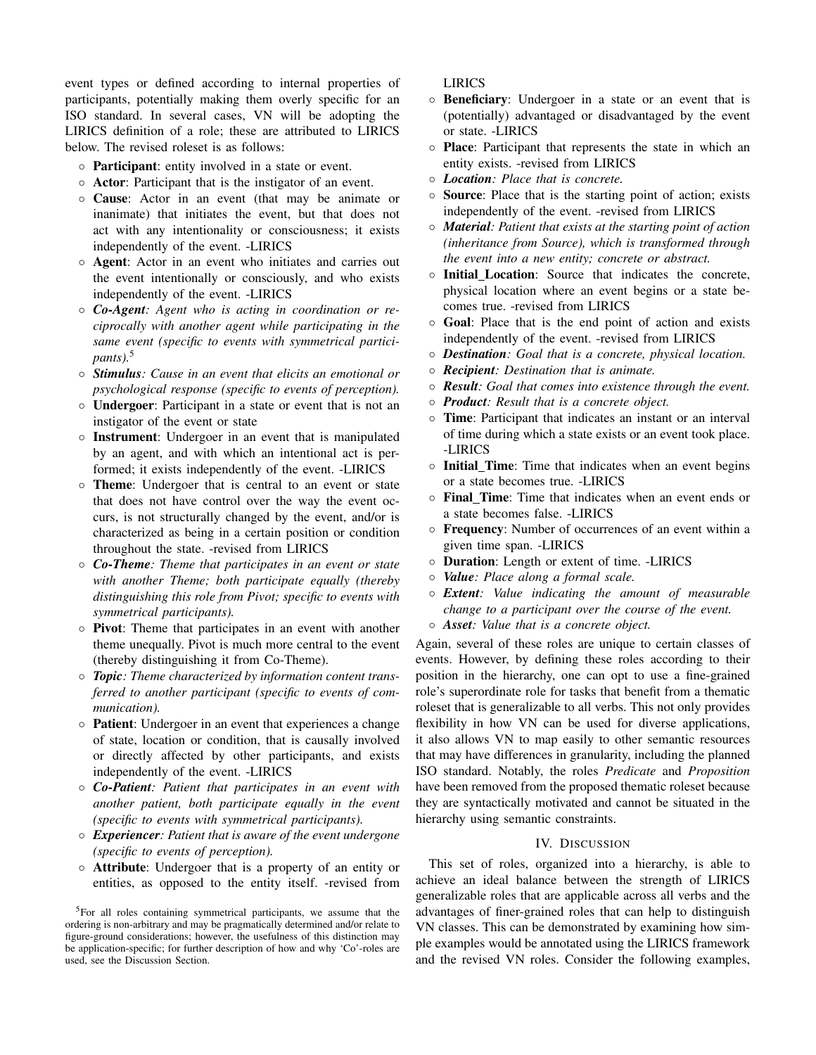event types or defined according to internal properties of participants, potentially making them overly specific for an ISO standard. In several cases, VN will be adopting the LIRICS definition of a role; these are attributed to LIRICS below. The revised roleset is as follows:

- Participant: entity involved in a state or event.
- Actor: Participant that is the instigator of an event.
- Cause: Actor in an event (that may be animate or inanimate) that initiates the event, but that does not act with any intentionality or consciousness; it exists independently of the event. -LIRICS
- Agent: Actor in an event who initiates and carries out the event intentionally or consciously, and who exists independently of the event. -LIRICS
- *Co-Agent: Agent who is acting in coordination or reciprocally with another agent while participating in the same event (specific to events with symmetrical participants).*<sup>5</sup>
- *Stimulus: Cause in an event that elicits an emotional or psychological response (specific to events of perception).*
- Undergoer: Participant in a state or event that is not an instigator of the event or state
- Instrument: Undergoer in an event that is manipulated by an agent, and with which an intentional act is performed; it exists independently of the event. -LIRICS
- Theme: Undergoer that is central to an event or state that does not have control over the way the event occurs, is not structurally changed by the event, and/or is characterized as being in a certain position or condition throughout the state. -revised from LIRICS
- *Co-Theme: Theme that participates in an event or state with another Theme; both participate equally (thereby distinguishing this role from Pivot; specific to events with symmetrical participants).*
- Pivot: Theme that participates in an event with another theme unequally. Pivot is much more central to the event (thereby distinguishing it from Co-Theme).
- *Topic: Theme characterized by information content transferred to another participant (specific to events of communication).*
- Patient: Undergoer in an event that experiences a change of state, location or condition, that is causally involved or directly affected by other participants, and exists independently of the event. -LIRICS
- *Co-Patient: Patient that participates in an event with another patient, both participate equally in the event (specific to events with symmetrical participants).*
- *Experiencer: Patient that is aware of the event undergone (specific to events of perception).*
- Attribute: Undergoer that is a property of an entity or entities, as opposed to the entity itself. -revised from

LIRICS

- Beneficiary: Undergoer in a state or an event that is (potentially) advantaged or disadvantaged by the event or state. -LIRICS
- Place: Participant that represents the state in which an entity exists. -revised from LIRICS
- *Location: Place that is concrete.*
- Source: Place that is the starting point of action; exists independently of the event. -revised from LIRICS
- *Material: Patient that exists at the starting point of action (inheritance from Source), which is transformed through the event into a new entity; concrete or abstract.*
- Initial Location: Source that indicates the concrete, physical location where an event begins or a state becomes true. -revised from LIRICS
- Goal: Place that is the end point of action and exists independently of the event. -revised from LIRICS
- *Destination: Goal that is a concrete, physical location.*
- *Recipient: Destination that is animate.*
- *Result: Goal that comes into existence through the event.*
- *Product: Result that is a concrete object.*
- Time: Participant that indicates an instant or an interval of time during which a state exists or an event took place. -LIRICS
- Initial Time: Time that indicates when an event begins or a state becomes true. -LIRICS
- Final Time: Time that indicates when an event ends or a state becomes false. -LIRICS
- Frequency: Number of occurrences of an event within a given time span. -LIRICS
- Duration: Length or extent of time. -LIRICS
- *Value: Place along a formal scale.*
- *Extent: Value indicating the amount of measurable change to a participant over the course of the event.*
- *Asset: Value that is a concrete object.*

Again, several of these roles are unique to certain classes of events. However, by defining these roles according to their position in the hierarchy, one can opt to use a fine-grained role's superordinate role for tasks that benefit from a thematic roleset that is generalizable to all verbs. This not only provides flexibility in how VN can be used for diverse applications, it also allows VN to map easily to other semantic resources that may have differences in granularity, including the planned ISO standard. Notably, the roles *Predicate* and *Proposition* have been removed from the proposed thematic roleset because they are syntactically motivated and cannot be situated in the hierarchy using semantic constraints.

#### IV. DISCUSSION

This set of roles, organized into a hierarchy, is able to achieve an ideal balance between the strength of LIRICS generalizable roles that are applicable across all verbs and the advantages of finer-grained roles that can help to distinguish VN classes. This can be demonstrated by examining how simple examples would be annotated using the LIRICS framework and the revised VN roles. Consider the following examples,

<sup>5</sup>For all roles containing symmetrical participants, we assume that the ordering is non-arbitrary and may be pragmatically determined and/or relate to figure-ground considerations; however, the usefulness of this distinction may be application-specific; for further description of how and why 'Co'-roles are used, see the Discussion Section.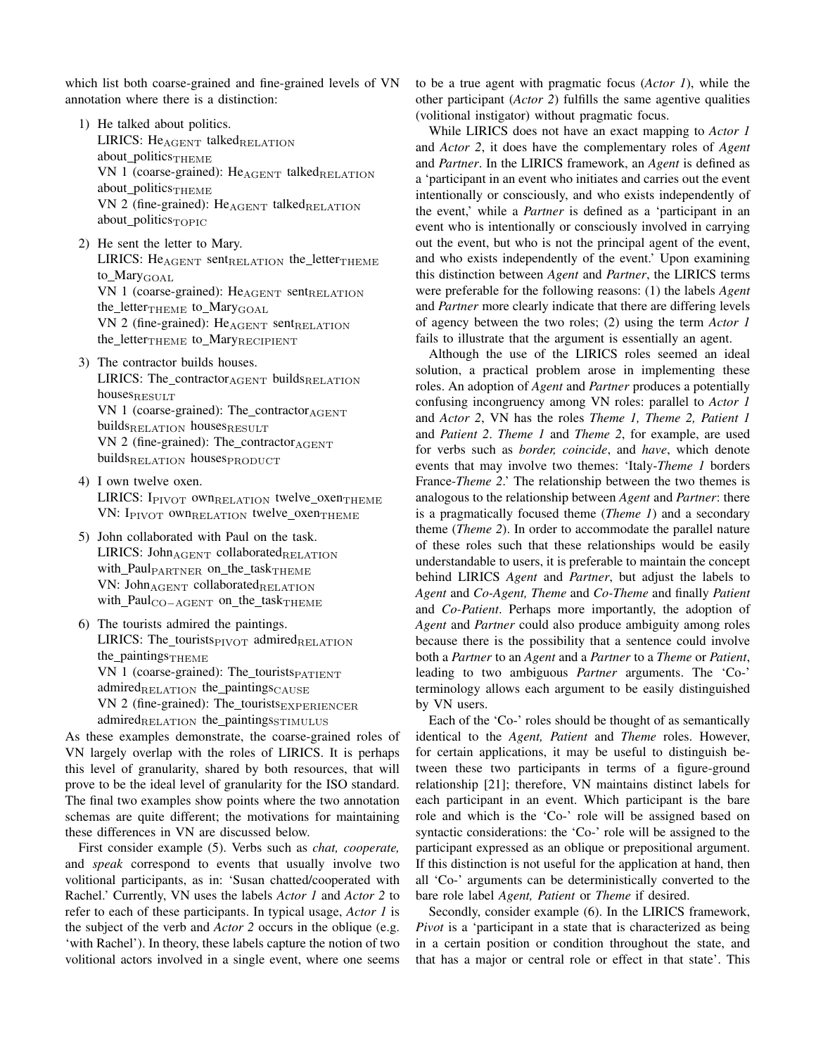which list both coarse-grained and fine-grained levels of VN annotation where there is a distinction:

- 1) He talked about politics. LIRICS:  $He_{AGENT}$  talked $RELATION$  $about\_politics<sub>THEME</sub>$ VN 1 (coarse-grained):  $He_{AGENT}$  talked  $RELATION$ about\_politics $_{\text{THEME}}$ VN 2 (fine-grained):  $He_{AGENT}$  talked  $RELATION$ about\_politicsTOPIC
- 2) He sent the letter to Mary. LIRICS:  $He_{AGENT}$  sent $RELATION$  the letter THEME to\_Mary<sub>GOAL</sub> VN 1 (coarse-grained): HeAGENT sentRELATION the letter  $_{\text{THEME}}$  to Mary<sub>GOAL</sub> VN 2 (fine-grained):  $He_{AGENT}$  sent $_{RELATION}$ the letter  $T_{\text{HEME}}$  to Mary RECIPIENT
- 3) The contractor builds houses. LIRICS: The\_contractor $_{\rm AGENT}$  builds RELATION  $house$ SRESULT VN 1 (coarse-grained): The\_contractor AGENT  $builds<sub>RELATION</sub> houses<sub>RESULT</sub>$ VN 2 (fine-grained): The\_contractor $_{\rm AGENT}$ buildsRELATION housesPRODUCT
- 4) I own twelve oxen. LIRICS:  $I_{\text{PIVOT}}$  own<sub>RELATION</sub> twelve\_oxen<sub>THEME</sub> VN: I $_{\rm PIVOT}$  own $_{\rm RELATION}$  twelve\_oxen $_{\rm THEME}$
- 5) John collaborated with Paul on the task. LIRICS: John $_{\text{AGENT}}$  collaboratedRELATION with Paul $_{\rm PARTNER}$  on the task THEME VN: JohnAGENT collaboratedRELATION with Paul $_{\text{CO}-\text{AGENT}}$  on the task THEME
- 6) The tourists admired the paintings. LIRICS: The\_tourists $_{\rm PIVOT}$  admired $_{\rm RELATION}$ the\_paintings $_{\text{THEME}}$ VN 1 (coarse-grained): The\_tourists PATIENT admired $_{\text{RELATION}}$  the paintings $_{\text{CAUSE}}$ VN 2 (fine-grained): The\_tourists $_{\rm EXPERIENCER}$ admired $_{\text{RELATION}}$  the paintings  $_{\text{STIMULUS}}$

As these examples demonstrate, the coarse-grained roles of VN largely overlap with the roles of LIRICS. It is perhaps this level of granularity, shared by both resources, that will prove to be the ideal level of granularity for the ISO standard. The final two examples show points where the two annotation schemas are quite different; the motivations for maintaining these differences in VN are discussed below.

First consider example (5). Verbs such as *chat, cooperate,* and *speak* correspond to events that usually involve two volitional participants, as in: 'Susan chatted/cooperated with Rachel.' Currently, VN uses the labels *Actor 1* and *Actor 2* to refer to each of these participants. In typical usage, *Actor 1* is the subject of the verb and *Actor 2* occurs in the oblique (e.g. 'with Rachel'). In theory, these labels capture the notion of two volitional actors involved in a single event, where one seems to be a true agent with pragmatic focus (*Actor 1*), while the other participant (*Actor 2*) fulfills the same agentive qualities (volitional instigator) without pragmatic focus.

While LIRICS does not have an exact mapping to *Actor 1* and *Actor 2*, it does have the complementary roles of *Agent* and *Partner*. In the LIRICS framework, an *Agent* is defined as a 'participant in an event who initiates and carries out the event intentionally or consciously, and who exists independently of the event,' while a *Partner* is defined as a 'participant in an event who is intentionally or consciously involved in carrying out the event, but who is not the principal agent of the event, and who exists independently of the event.' Upon examining this distinction between *Agent* and *Partner*, the LIRICS terms were preferable for the following reasons: (1) the labels *Agent* and *Partner* more clearly indicate that there are differing levels of agency between the two roles; (2) using the term *Actor 1* fails to illustrate that the argument is essentially an agent.

Although the use of the LIRICS roles seemed an ideal solution, a practical problem arose in implementing these roles. An adoption of *Agent* and *Partner* produces a potentially confusing incongruency among VN roles: parallel to *Actor 1* and *Actor 2*, VN has the roles *Theme 1, Theme 2, Patient 1* and *Patient 2*. *Theme 1* and *Theme 2*, for example, are used for verbs such as *border, coincide*, and *have*, which denote events that may involve two themes: 'Italy-*Theme 1* borders France-*Theme 2*.' The relationship between the two themes is analogous to the relationship between *Agent* and *Partner*: there is a pragmatically focused theme (*Theme 1*) and a secondary theme (*Theme 2*). In order to accommodate the parallel nature of these roles such that these relationships would be easily understandable to users, it is preferable to maintain the concept behind LIRICS *Agent* and *Partner*, but adjust the labels to *Agent* and *Co-Agent, Theme* and *Co-Theme* and finally *Patient* and *Co-Patient*. Perhaps more importantly, the adoption of *Agent* and *Partner* could also produce ambiguity among roles because there is the possibility that a sentence could involve both a *Partner* to an *Agent* and a *Partner* to a *Theme* or *Patient*, leading to two ambiguous *Partner* arguments. The 'Co-' terminology allows each argument to be easily distinguished by VN users.

Each of the 'Co-' roles should be thought of as semantically identical to the *Agent, Patient* and *Theme* roles. However, for certain applications, it may be useful to distinguish between these two participants in terms of a figure-ground relationship [21]; therefore, VN maintains distinct labels for each participant in an event. Which participant is the bare role and which is the 'Co-' role will be assigned based on syntactic considerations: the 'Co-' role will be assigned to the participant expressed as an oblique or prepositional argument. If this distinction is not useful for the application at hand, then all 'Co-' arguments can be deterministically converted to the bare role label *Agent, Patient* or *Theme* if desired.

Secondly, consider example (6). In the LIRICS framework, *Pivot* is a 'participant in a state that is characterized as being in a certain position or condition throughout the state, and that has a major or central role or effect in that state'. This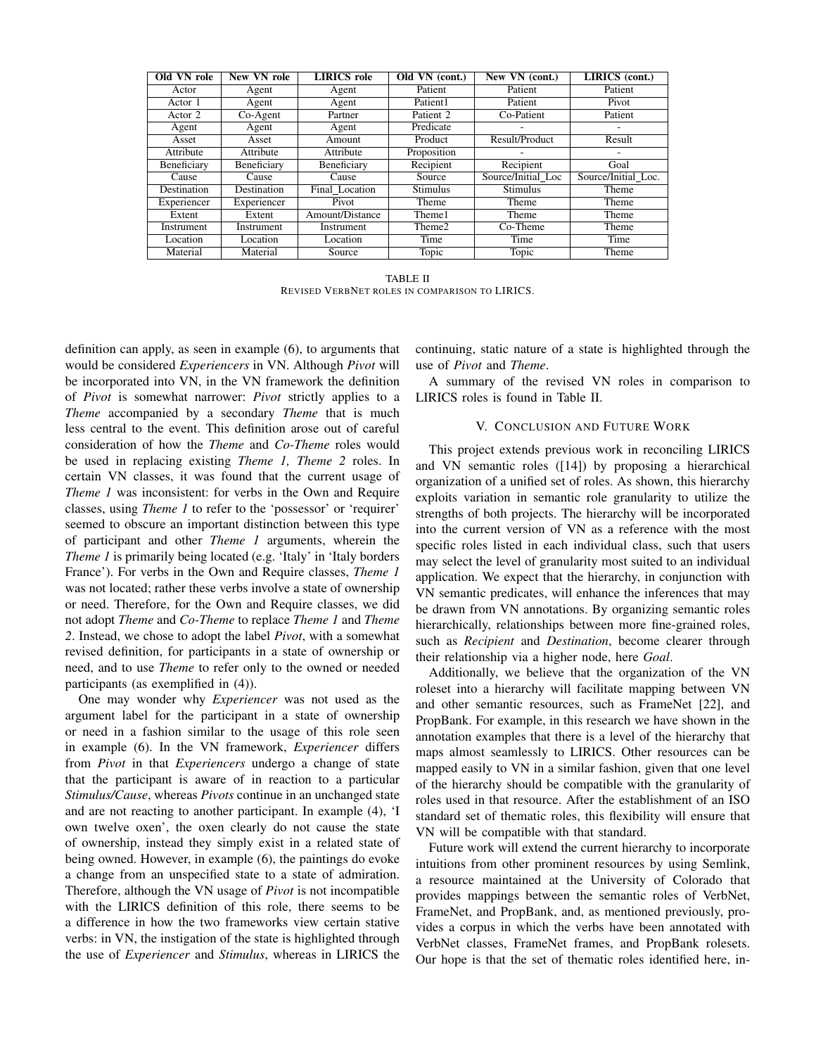| Old VN role       | New VN role        | <b>LIRICS</b> role | Old VN (cont.)       | New VN (cont.)     | LIRICS (cont.)      |
|-------------------|--------------------|--------------------|----------------------|--------------------|---------------------|
| Actor             | Agent              | Agent              | Patient              | Patient            | Patient             |
| Actor 1           | Agent              | Agent              | Patient1             | Patient            | Pivot               |
| Actor 2           | $Co-Agent$         | Partner            | Patient <sub>2</sub> | Co-Patient         | Patient             |
| Agent             | Agent              | Agent              | Predicate            |                    |                     |
| Asset             | Asset              | Amount             | Product              | Result/Product     | Result              |
| Attribute         | Attribute          | Attribute          | Proposition          |                    | ۰                   |
| Beneficiary       | Beneficiary        | Beneficiary        | Recipient            | Recipient          | Goal                |
| Cause             | Cause              | Cause              | Source               | Source/Initial Loc | Source/Initial Loc. |
| Destination       | <b>Destination</b> | Final Location     | <b>Stimulus</b>      | <b>Stimulus</b>    | Theme               |
| Experiencer       | Experiencer        | Pivot              | Theme                | Theme              | Theme               |
| Extent            | Extent             | Amount/Distance    | Theme1               | Theme              | Theme               |
| <b>Instrument</b> | Instrument         | Instrument         | Theme2               | $Co$ -Theme        | Theme               |
| Location          | Location           | Location           | Time                 | Time               | Time                |
| Material          | Material           | Source             | Topic                | Topic              | Theme               |

TABLE II REVISED VERBNET ROLES IN COMPARISON TO LIRICS.

definition can apply, as seen in example (6), to arguments that would be considered *Experiencers* in VN. Although *Pivot* will be incorporated into VN, in the VN framework the definition of *Pivot* is somewhat narrower: *Pivot* strictly applies to a *Theme* accompanied by a secondary *Theme* that is much less central to the event. This definition arose out of careful consideration of how the *Theme* and *Co-Theme* roles would be used in replacing existing *Theme 1, Theme 2* roles. In certain VN classes, it was found that the current usage of *Theme 1* was inconsistent: for verbs in the Own and Require classes, using *Theme 1* to refer to the 'possessor' or 'requirer' seemed to obscure an important distinction between this type of participant and other *Theme 1* arguments, wherein the *Theme 1* is primarily being located (e.g. 'Italy' in 'Italy borders France'). For verbs in the Own and Require classes, *Theme 1* was not located; rather these verbs involve a state of ownership or need. Therefore, for the Own and Require classes, we did not adopt *Theme* and *Co-Theme* to replace *Theme 1* and *Theme 2*. Instead, we chose to adopt the label *Pivot*, with a somewhat revised definition, for participants in a state of ownership or need, and to use *Theme* to refer only to the owned or needed participants (as exemplified in (4)).

One may wonder why *Experiencer* was not used as the argument label for the participant in a state of ownership or need in a fashion similar to the usage of this role seen in example (6). In the VN framework, *Experiencer* differs from *Pivot* in that *Experiencers* undergo a change of state that the participant is aware of in reaction to a particular *Stimulus/Cause*, whereas *Pivots* continue in an unchanged state and are not reacting to another participant. In example (4), 'I own twelve oxen', the oxen clearly do not cause the state of ownership, instead they simply exist in a related state of being owned. However, in example (6), the paintings do evoke a change from an unspecified state to a state of admiration. Therefore, although the VN usage of *Pivot* is not incompatible with the LIRICS definition of this role, there seems to be a difference in how the two frameworks view certain stative verbs: in VN, the instigation of the state is highlighted through the use of *Experiencer* and *Stimulus*, whereas in LIRICS the continuing, static nature of a state is highlighted through the use of *Pivot* and *Theme*.

A summary of the revised VN roles in comparison to LIRICS roles is found in Table II.

### V. CONCLUSION AND FUTURE WORK

This project extends previous work in reconciling LIRICS and VN semantic roles ([14]) by proposing a hierarchical organization of a unified set of roles. As shown, this hierarchy exploits variation in semantic role granularity to utilize the strengths of both projects. The hierarchy will be incorporated into the current version of VN as a reference with the most specific roles listed in each individual class, such that users may select the level of granularity most suited to an individual application. We expect that the hierarchy, in conjunction with VN semantic predicates, will enhance the inferences that may be drawn from VN annotations. By organizing semantic roles hierarchically, relationships between more fine-grained roles, such as *Recipient* and *Destination*, become clearer through their relationship via a higher node, here *Goal*.

Additionally, we believe that the organization of the VN roleset into a hierarchy will facilitate mapping between VN and other semantic resources, such as FrameNet [22], and PropBank. For example, in this research we have shown in the annotation examples that there is a level of the hierarchy that maps almost seamlessly to LIRICS. Other resources can be mapped easily to VN in a similar fashion, given that one level of the hierarchy should be compatible with the granularity of roles used in that resource. After the establishment of an ISO standard set of thematic roles, this flexibility will ensure that VN will be compatible with that standard.

Future work will extend the current hierarchy to incorporate intuitions from other prominent resources by using Semlink, a resource maintained at the University of Colorado that provides mappings between the semantic roles of VerbNet, FrameNet, and PropBank, and, as mentioned previously, provides a corpus in which the verbs have been annotated with VerbNet classes, FrameNet frames, and PropBank rolesets. Our hope is that the set of thematic roles identified here, in